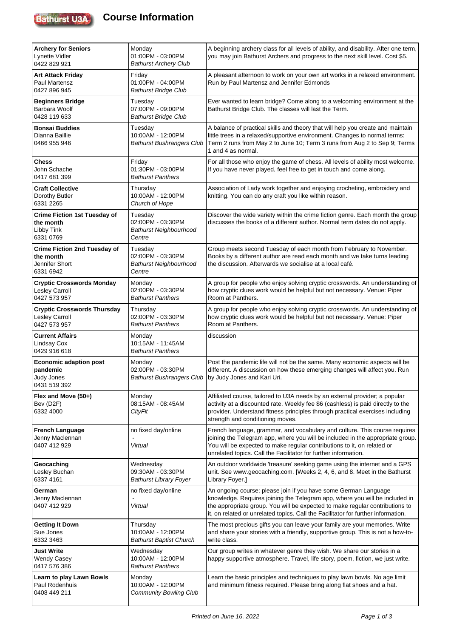

| <b>Archery for Seniors</b><br>Lynette Vidler<br>0422 829 921                    | Monday<br>01:00PM - 03:00PM<br><b>Bathurst Archery Club</b>             | A beginning archery class for all levels of ability, and disability. After one term,<br>you may join Bathurst Archers and progress to the next skill level. Cost \$5.                                                                                                                                               |
|---------------------------------------------------------------------------------|-------------------------------------------------------------------------|---------------------------------------------------------------------------------------------------------------------------------------------------------------------------------------------------------------------------------------------------------------------------------------------------------------------|
| Art Attack Friday<br>Paul Martensz<br>0427 896 945                              | Friday<br>01:00PM - 04:00PM<br><b>Bathurst Bridge Club</b>              | A pleasant afternoon to work on your own art works in a relaxed environment.<br>Run by Paul Martensz and Jennifer Edmonds                                                                                                                                                                                           |
| <b>Beginners Bridge</b><br>Barbara Woolf<br>0428 119 633                        | Tuesday<br>07:00PM - 09:00PM<br><b>Bathurst Bridge Club</b>             | Ever wanted to learn bridge? Come along to a welcoming environment at the<br>Bathurst Bridge Club. The classes will last the Term.                                                                                                                                                                                  |
| <b>Bonsai Buddies</b><br>Dianna Baillie<br>0466 955 946                         | Tuesday<br>10:00AM - 12:00PM<br><b>Bathurst Bushrangers Club</b>        | A balance of practical skills and theory that will help you create and maintain<br>little trees in a relaxed/supportive environment. Changes to normal terms:<br>Term 2 runs from May 2 to June 10; Term 3 runs from Aug 2 to Sep 9; Terms<br>1 and 4 as normal.                                                    |
| Chess<br>John Schache<br>0417 681 399                                           | Friday<br>01:30PM - 03:00PM<br><b>Bathurst Panthers</b>                 | For all those who enjoy the game of chess. All levels of ability most welcome.<br>If you have never played, feel free to get in touch and come along.                                                                                                                                                               |
| <b>Craft Collective</b><br>Dorothy Butler<br>6331 2265                          | Thursday<br>10:00AM - 12:00PM<br>Church of Hope                         | Association of Lady work together and enjoying crocheting, embroidery and<br>knitting. You can do any craft you like within reason.                                                                                                                                                                                 |
| <b>Crime Fiction 1st Tuesday of</b><br>the month<br>Libby Tink<br>6331 0769     | Tuesday<br>02:00PM - 03:30PM<br><b>Bathurst Neighbourhood</b><br>Centre | Discover the wide variety within the crime fiction genre. Each month the group<br>discusses the books of a different author. Normal term dates do not apply.                                                                                                                                                        |
| <b>Crime Fiction 2nd Tuesday of</b><br>the month<br>Jennifer Short<br>6331 6942 | Tuesday<br>02:00PM - 03:30PM<br><b>Bathurst Neighbourhood</b><br>Centre | Group meets second Tuesday of each month from February to November.<br>Books by a different author are read each month and we take turns leading<br>the discussion. Afterwards we socialise at a local café.                                                                                                        |
| <b>Cryptic Crosswords Monday</b><br><b>Lesley Carroll</b><br>0427 573 957       | Monday<br>02:00PM - 03:30PM<br><b>Bathurst Panthers</b>                 | A group for people who enjoy solving cryptic crosswords. An understanding of<br>how cryptic clues work would be helpful but not necessary. Venue: Piper<br>Room at Panthers.                                                                                                                                        |
| <b>Cryptic Crosswords Thursday</b><br>Lesley Carroll<br>0427 573 957            | Thursday<br>02:00PM - 03:30PM<br><b>Bathurst Panthers</b>               | A group for people who enjoy solving cryptic crosswords. An understanding of<br>how cryptic clues work would be helpful but not necessary. Venue: Piper<br>Room at Panthers.                                                                                                                                        |
| <b>Current Affairs</b><br><b>Lindsay Cox</b><br>0429 916 618                    | Monday<br>10:15AM - 11:45AM<br><b>Bathurst Panthers</b>                 | discussion                                                                                                                                                                                                                                                                                                          |
| <b>Economic adaption post</b><br>pandemic<br>Judy Jones<br>0431 519 392         | Monday<br>02:00PM - 03:30PM<br><b>Bathurst Bushrangers Club</b>         | Post the pandemic life will not be the same. Many economic aspects will be<br>different. A discussion on how these emerging changes will affect you. Run<br>by Judy Jones and Kari Uri.                                                                                                                             |
| Flex and Move (50+)<br>Bev (D2F)<br>6332 4000                                   | Monday<br>08:15AM - 08:45AM<br><b>CityFit</b>                           | Affiliated course, tailored to U3A needs by an external provider; a popular<br>activity at a discounted rate. Weekly fee \$6 (cashless) is paid directly to the<br>provider. Understand fitness principles through practical exercises including<br>strength and conditioning moves.                                |
| <b>French Language</b><br>Jenny Maclennan<br>0407 412 929                       | no fixed day/online<br>Virtual                                          | French language, grammar, and vocabulary and culture. This course requires<br>joining the Telegram app, where you will be included in the appropriate group.<br>You will be expected to make regular contributions to it, on related or<br>unrelated topics. Call the Facilitator for further information.          |
| Geocaching<br>Lesley Buchan<br>6337 4161                                        | Wednesday<br>09:30AM - 03:30PM<br><b>Bathurst Library Foyer</b>         | An outdoor worldwide 'treasure' seeking game using the internet and a GPS<br>unit. See www.geocaching.com. [Weeks 2, 4, 6, and 8. Meet in the Bathurst<br>Library Foyer.]                                                                                                                                           |
| German<br>Jenny Maclennan<br>0407 412 929                                       | no fixed day/online<br>Virtual                                          | An ongoing course; please join if you have some German Language<br>knowledge. Requires joining the Telegram app, where you will be included in<br>the appropriate group. You will be expected to make regular contributions to<br>it, on related or unrelated topics. Call the Facilitator for further information. |
| <b>Getting It Down</b><br>Sue Jones<br>6332 3463                                | Thursday<br>10:00AM - 12:00PM<br><b>Bathurst Baptist Church</b>         | The most precious gifts you can leave your family are your memories. Write<br>and share your stories with a friendly, supportive group. This is not a how-to-<br>write class.                                                                                                                                       |
| Just Write<br>Wendy Casey<br>0417 576 386                                       | Wednesday<br>10:00AM - 12:00PM<br><b>Bathurst Panthers</b>              | Our group writes in whatever genre they wish. We share our stories in a<br>happy supportive atmosphere. Travel, life story, poem, fiction, we just write.                                                                                                                                                           |
| Learn to play Lawn Bowls<br>Paul Rodenhuis<br>0408 449 211                      | Monday<br>10:00AM - 12:00PM<br><b>Community Bowling Club</b>            | Learn the basic principles and techniques to play lawn bowls. No age limit<br>and minimum fitness required. Please bring along flat shoes and a hat.                                                                                                                                                                |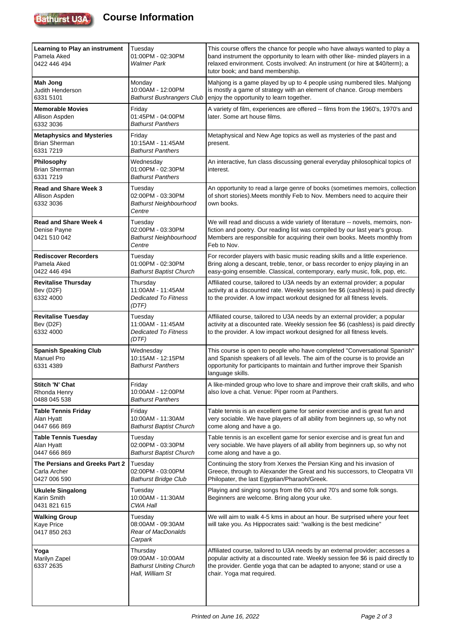

## **Course Information**

| Learning to Play an instrument<br>Pamela Aked<br>0422 446 494         | Tuesday<br>01:00PM - 02:30PM<br><b>Walmer Park</b>                                  | This course offers the chance for people who have always wanted to play a<br>band instrument the opportunity to learn with other like- minded players in a<br>relaxed environment. Costs involved: An instrument (or hire at \$40/term); a<br>tutor book; and band membership. |
|-----------------------------------------------------------------------|-------------------------------------------------------------------------------------|--------------------------------------------------------------------------------------------------------------------------------------------------------------------------------------------------------------------------------------------------------------------------------|
| Mah Jong<br>Judith Henderson<br>6331 5101                             | Monday<br>10:00AM - 12:00PM<br><b>Bathurst Bushrangers Club</b>                     | Mahjong is a game played by up to 4 people using numbered tiles. Mahjong<br>is mostly a game of strategy with an element of chance. Group members<br>enjoy the opportunity to learn together.                                                                                  |
| <b>Memorable Movies</b><br>Allison Aspden<br>6332 3036                | Friday<br>01:45PM - 04:00PM<br><b>Bathurst Panthers</b>                             | A variety of film, experiences are offered -- films from the 1960's, 1970's and<br>later. Some art house films.                                                                                                                                                                |
| <b>Metaphysics and Mysteries</b><br><b>Brian Sherman</b><br>6331 7219 | Friday<br>10:15AM - 11:45AM<br><b>Bathurst Panthers</b>                             | Metaphysical and New Age topics as well as mysteries of the past and<br>present.                                                                                                                                                                                               |
| <b>Philosophy</b><br><b>Brian Sherman</b><br>6331 7219                | Wednesday<br>01:00PM - 02:30PM<br><b>Bathurst Panthers</b>                          | An interactive, fun class discussing general everyday philosophical topics of<br>interest.                                                                                                                                                                                     |
| <b>Read and Share Week 3</b><br>Allison Aspden<br>6332 3036           | Tuesday<br>02:00PM - 03:30PM<br><b>Bathurst Neighbourhood</b><br>Centre             | An opportunity to read a large genre of books (sometimes memoirs, collection<br>of short stories). Meets monthly Feb to Nov. Members need to acquire their<br>own books.                                                                                                       |
| <b>Read and Share Week 4</b><br>Denise Payne<br>0421 510 042          | Tuesday<br>02:00PM - 03:30PM<br><b>Bathurst Neighbourhood</b><br>Centre             | We will read and discuss a wide variety of literature -- novels, memoirs, non-<br>fiction and poetry. Our reading list was compiled by our last year's group.<br>Members are responsible for acquiring their own books. Meets monthly from<br>Feb to Nov.                      |
| <b>Rediscover Recorders</b><br>Pamela Aked<br>0422 446 494            | Tuesday<br>01:00PM - 02:30PM<br><b>Bathurst Baptist Church</b>                      | For recorder players with basic music reading skills and a little experience.<br>Bring along a descant, treble, tenor, or bass recorder to enjoy playing in an<br>easy-going ensemble. Classical, contemporary, early music, folk, pop, etc.                                   |
| <b>Revitalise Thursday</b><br>Bev (D2F)<br>6332 4000                  | Thursday<br>11:00AM - 11:45AM<br><b>Dedicated To Fitness</b><br>(DTF)               | Affiliated course, tailored to U3A needs by an external provider; a popular<br>activity at a discounted rate. Weekly session fee \$6 (cashless) is paid directly<br>to the provider. A low impact workout designed for all fitness levels.                                     |
| <b>Revitalise Tuesday</b><br>Bev (D2F)<br>6332 4000                   | Tuesday<br>11:00AM - 11:45AM<br><b>Dedicated To Fitness</b><br>(DTF)                | Affiliated course, tailored to U3A needs by an external provider; a popular<br>activity at a discounted rate. Weekly session fee \$6 (cashless) is paid directly<br>to the provider. A low impact workout designed for all fitness levels.                                     |
| <b>Spanish Speaking Club</b><br><b>Manuel Pro</b><br>6331 4389        | Wednesday<br>10:15AM - 12:15PM<br><b>Bathurst Panthers</b>                          | This course is open to people who have completed "Conversational Spanish"<br>and Spanish speakers of all levels. The aim of the course is to provide an<br>opportunity for participants to maintain and further improve their Spanish<br>language skills.                      |
| Stitch 'N' Chat<br>Rhonda Henry<br>0488 045 538                       | Friday<br>10:00AM - 12:00PM<br><b>Bathurst Panthers</b>                             | A like-minded group who love to share and improve their craft skills, and who<br>also love a chat. Venue: Piper room at Panthers.                                                                                                                                              |
| <b>Table Tennis Friday</b><br>Alan Hyatt<br>0447 666 869              | Friday<br>10:00AM - 11:30AM<br><b>Bathurst Baptist Church</b>                       | Table tennis is an excellent game for senior exercise and is great fun and<br>very sociable. We have players of all ability from beginners up, so why not<br>come along and have a go.                                                                                         |
| <b>Table Tennis Tuesday</b><br>Alan Hyatt<br>0447 666 869             | Tuesday<br>02:00PM - 03:30PM<br><b>Bathurst Baptist Church</b>                      | Table tennis is an excellent game for senior exercise and is great fun and<br>very sociable. We have players of all ability from beginners up, so why not<br>come along and have a go.                                                                                         |
| The Persians and Greeks Part 2<br>Carla Archer<br>0427 006 590        | Tuesday<br>02:00PM - 03:00PM<br><b>Bathurst Bridge Club</b>                         | Continuing the story from Xerxes the Persian King and his invasion of<br>Greece, through to Alexander the Great and his successors, to Cleopatra VII<br>Philopater, the last Egyptian/Pharaoh/Greek.                                                                           |
| <b>Ukulele Singalong</b><br>Karin Smith<br>0431 821 615               | Tuesday<br>10:00AM - 11:30AM<br>CWA Hall                                            | Playing and singing songs from the 60's and 70's and some folk songs.<br>Beginners are welcome. Bring along your uke.                                                                                                                                                          |
| <b>Walking Group</b><br>Kaye Price<br>0417 850 263                    | Tuesday<br>08:00AM - 09:30AM<br>Rear of MacDonalds<br>Carpark                       | We will aim to walk 4-5 kms in about an hour. Be surprised where your feet<br>will take you. As Hippocrates said: "walking is the best medicine"                                                                                                                               |
| Yoga<br>Marilyn Zapel<br>6337 2635                                    | Thursday<br>09:00AM - 10:00AM<br><b>Bathurst Uniting Church</b><br>Hall, William St | Affiliated course, tailored to U3A needs by an external provider; accesses a<br>popular activity at a discounted rate. Weekly session fee \$6 is paid directly to<br>the provider. Gentle yoga that can be adapted to anyone; stand or use a<br>chair. Yoga mat required.      |